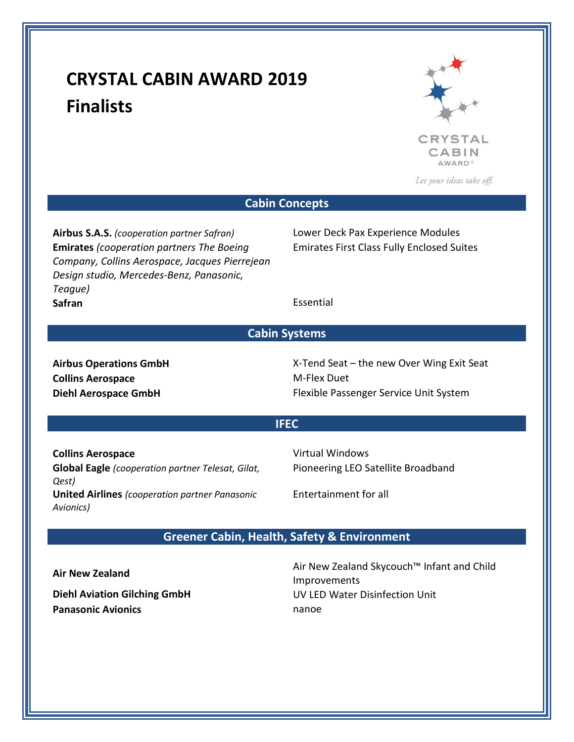# **CRYSTAL CABIN AWARD 2019 Finalists**



Let your ideas take off.

**Cabin Concepts**

**Airbus S.A.S.** *(cooperation partner Safran)* Lower Deck Pax Experience Modules **Emirates** *(cooperation partners The Boeing Company, Collins Aerospace, Jacques Pierrejean Design studio, Mercedes-Benz, Panasonic, Teague)* Safran **Essential** 

Emirates First Class Fully Enclosed Suites

**Cabin Systems**

**Collins Aerospace** M-Flex Duet

**Airbus Operations GmbH** X-Tend Seat – the new Over Wing Exit Seat **Diehl Aerospace GmbH** Flexible Passenger Service Unit System

#### **IFEC**

**Collins Aerospace** Virtual Windows **Global Eagle** *(cooperation partner Telesat, Gilat, Qest)* **United Airlines** *(cooperation partner Panasonic Avionics)*

Pioneering LEO Satellite Broadband

Entertainment for all

# **Greener Cabin, Health, Safety & Environment**

**Panasonic Avionics nanoe** 

**Air New Zealand** Air New Zealand Skycouch™ Infant and Child **Improvements Diehl Aviation Gilching GmbH** UV LED Water Disinfection Unit